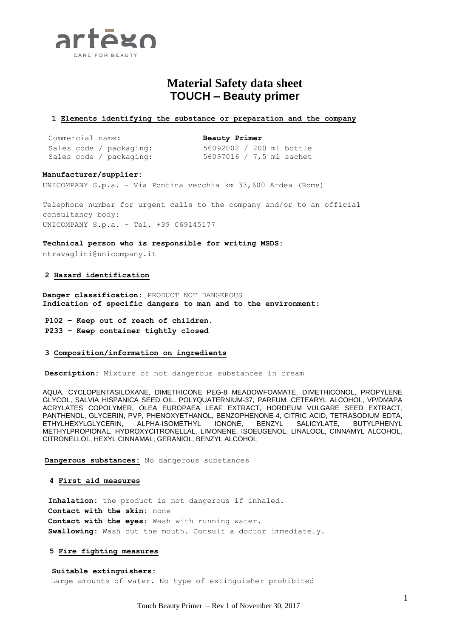

# **Material Safety data sheet TOUCH – Beauty primer**

#### **1 Elements identifying the substance or preparation and the company**

Commercial name: **Beauty Primer** Sales code / packaging: 56092002 / 200 ml bottle

Sales code / packaging: 56097016 / 7,5 ml sachet

#### **Manufacturer/supplier:**

UNICOMPANY S.p.a. - Via Pontina vecchia km 33,600 Ardea (Rome)

Telephone number for urgent calls to the company and/or to an official consultancy body: UNICOMPANY S.p.a. – Tel. +39 069145177

**Technical person who is responsible for writing MSDS:**

ntravaglini@unicompany.it

#### **2 Hazard identification**

**Danger classification:** PRODUCT NOT DANGEROUS **Indication of specific dangers to man and to the environment:**

**P102 – Keep out of reach of children. P233 – Keep container tightly closed**

## **3 Composition/information on ingredients**

**Description:** Mixture of not dangerous substances in cream

AQUA, CYCLOPENTASILOXANE, DIMETHICONE PEG-8 MEADOWFOAMATE, DIMETHICONOL, PROPYLENE GLYCOL, SALVIA HISPANICA SEED OIL, POLYQUATERNIUM-37, PARFUM, CETEARYL ALCOHOL, VP/DMAPA ACRYLATES COPOLYMER, OLEA EUROPAEA LEAF EXTRACT, HORDEUM VULGARE SEED EXTRACT, PANTHENOL, GLYCERIN, PVP, PHENOXYETHANOL, BENZOPHENONE-4, CITRIC ACID, TETRASODIUM EDTA, ETHYLHEXYLGLYCERIN, ALPHA-ISOMETHYL IONONE, BENZYL SALICYLATE, BUTYLPHENYL METHYLPROPIONAL, HYDROXYCITRONELLAL, LIMONENE, ISOEUGENOL, LINALOOL, CINNAMYL ALCOHOL, CITRONELLOL, HEXYL CINNAMAL, GERANIOL, BENZYL ALCOHOL

**Dangerous substances:** No dangerous substances

#### **4 First aid measures**

**Inhalation:** the product is not dangerous if inhaled. **Contact with the skin:** none **Contact with the eyes:** Wash with running water. **Swallowing:** Wash out the mouth. Consult a doctor immediately.

#### **5 Fire fighting measures**

 **Suitable extinguishers:** Large amounts of water. No type of extinguisher prohibited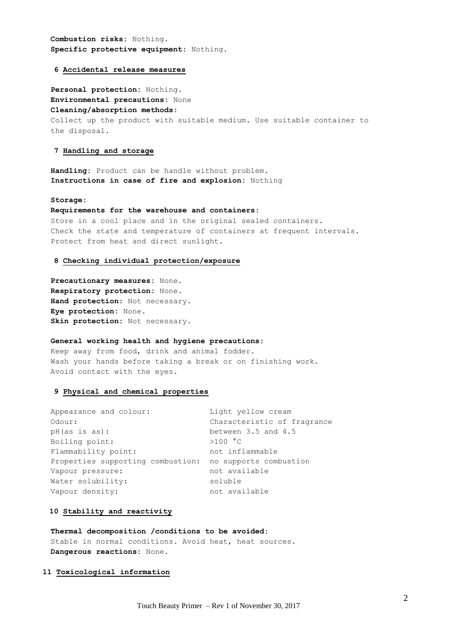**Combustion risks:** Nothing. **Specific protective equipment:** Nothing.

#### **6 Accidental release measures**

**Personal protection:** Nothing. **Environmental precautions:** None **Cleaning/absorption methods:** Collect up the product with suitable medium. Use suitable container to the disposal.

## **7 Handling and storage**

**Handling:** Product can be handle without problem. **Instructions in case of fire and explosion:** Nothing

#### **Storage:**

## **Requirements for the warehouse and containers:**

Store in a cool place and in the original sealed containers. Check the state and temperature of containers at frequent intervals. Protect from heat and direct sunlight.

#### **8 Checking individual protection/exposure**

**Precautionary measures:** None. **Respiratory protection:** None. **Hand protection:** Not necessary. **Eye protection:** None. **Skin protection:** Not necessary.

## **General working health and hygiene precautions:**

Keep away from food, drink and animal fodder. Wash your hands before taking a break or on finishing work. Avoid contact with the eyes.

# **9 Physical and chemical properties**

| Appearance and colour:                                   | Light yellow cream          |
|----------------------------------------------------------|-----------------------------|
| Odour:                                                   | Characteristic of fragrance |
| pH(as is as):                                            | between $3.5$ and $4.5$     |
| Boiling point:                                           | >100 °C                     |
| Flammability point:                                      | not inflammable             |
| Properties supporting combustion: no supports combustion |                             |
| Vapour pressure:                                         | not available               |
| Water solubility:                                        | soluble                     |
| Vapour density:                                          | not available               |
|                                                          |                             |

## **10 Stability and reactivity**

#### **Thermal decomposition /conditions to be avoided:**

Stable in normal conditions. Avoid heat, heat sources. **Dangerous reactions:** None.

## **11 Toxicological information**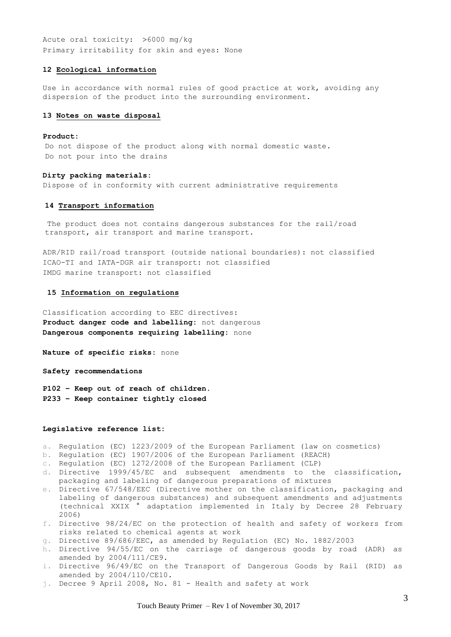Acute oral toxicity:  $>6000$  mg/kg Primary irritability for skin and eyes: None

## **12 Ecological information**

Use in accordance with normal rules of good practice at work, avoiding any dispersion of the product into the surrounding environment.

#### **13 Notes on waste disposal**

#### **Product:**

Do not dispose of the product along with normal domestic waste. Do not pour into the drains

#### **Dirty packing materials:**

Dispose of in conformity with current administrative requirements

#### **14 Transport information**

The product does not contains dangerous substances for the rail/road transport, air transport and marine transport.

ADR/RID rail/road transport (outside national boundaries): not classified ICAO-TI and IATA-DGR air transport: not classified IMDG marine transport: not classified

#### **15 Information on regulations**

Classification according to EEC directives: **Product danger code and labelling:** not dangerous **Dangerous components requiring labelling:** none

**Nature of specific risks:** none

**Safety recommendations** 

**P102 – Keep out of reach of children. P233 – Keep container tightly closed**

#### **Legislative reference list:**

- a. Regulation (EC) 1223/2009 of the European Parliament (law on cosmetics)
- b. Regulation (EC) 1907/2006 of the European Parliament (REACH)
- c. Regulation (EC) 1272/2008 of the European Parliament (CLP)
- d. Directive 1999/45/EC and subsequent amendments to the classification, packaging and labeling of dangerous preparations of mixtures
- e. Directive 67/548/EEC (Directive mother on the classification, packaging and labeling of dangerous substances) and subsequent amendments and adjustments (technical XXIX ° adaptation implemented in Italy by Decree 28 February 2006)
- f. Directive 98/24/EC on the protection of health and safety of workers from risks related to chemical agents at work
- g. Directive 89/686/EEC, as amended by Regulation (EC) No. 1882/2003
- h. Directive 94/55/EC on the carriage of dangerous goods by road (ADR) as amended by 2004/111/CE9.
- i. Directive 96/49/EC on the Transport of Dangerous Goods by Rail (RID) as amended by 2004/110/CE10.
- j. Decree 9 April 2008, No. 81 Health and safety at work